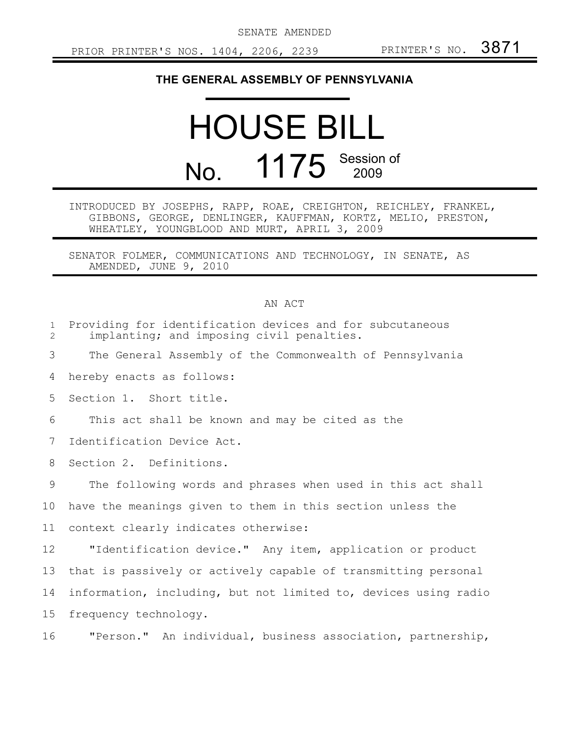SENATE AMENDED

## **THE GENERAL ASSEMBLY OF PENNSYLVANIA**

## HOUSE BILL No. 1175 Session of

INTRODUCED BY JOSEPHS, RAPP, ROAE, CREIGHTON, REICHLEY, FRANKEL, GIBBONS, GEORGE, DENLINGER, KAUFFMAN, KORTZ, MELIO, PRESTON, WHEATLEY, YOUNGBLOOD AND MURT, APRIL 3, 2009

SENATOR FOLMER, COMMUNICATIONS AND TECHNOLOGY, IN SENATE, AS AMENDED, JUNE 9, 2010

## AN ACT

| $\mathbf{1}$<br>$\overline{2}$ | Providing for identification devices and for subcutaneous<br>implanting; and imposing civil penalties. |
|--------------------------------|--------------------------------------------------------------------------------------------------------|
| 3                              | The General Assembly of the Commonwealth of Pennsylvania                                               |
| 4                              | hereby enacts as follows:                                                                              |
| 5                              | Section 1. Short title.                                                                                |
| 6                              | This act shall be known and may be cited as the                                                        |
| 7                              | Identification Device Act.                                                                             |
| 8                              | Section 2. Definitions.                                                                                |
| 9                              | The following words and phrases when used in this act shall                                            |
| 10                             | have the meanings given to them in this section unless the                                             |
| 11                             | context clearly indicates otherwise:                                                                   |
| 12                             | "Identification device." Any item, application or product                                              |
| 13                             | that is passively or actively capable of transmitting personal                                         |
| 14                             | information, including, but not limited to, devices using radio                                        |
| 15 <sub>1</sub>                | frequency technology.                                                                                  |
| 16                             | "Person." An individual, business association, partnership,                                            |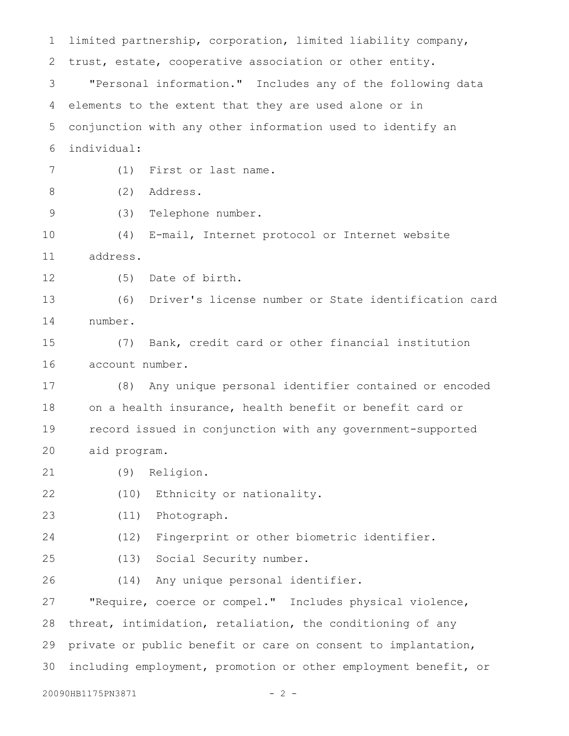limited partnership, corporation, limited liability company, trust, estate, cooperative association or other entity. "Personal information." Includes any of the following data elements to the extent that they are used alone or in conjunction with any other information used to identify an individual: (1) First or last name. (2) Address. (3) Telephone number. (4) E-mail, Internet protocol or Internet website address. (5) Date of birth. (6) Driver's license number or State identification card number. (7) Bank, credit card or other financial institution account number. (8) Any unique personal identifier contained or encoded on a health insurance, health benefit or benefit card or record issued in conjunction with any government-supported aid program. (9) Religion. (10) Ethnicity or nationality. (11) Photograph. (12) Fingerprint or other biometric identifier. (13) Social Security number. (14) Any unique personal identifier. "Require, coerce or compel." Includes physical violence, threat, intimidation, retaliation, the conditioning of any private or public benefit or care on consent to implantation, including employment, promotion or other employment benefit, or 20090HB1175PN3871 - 2 -1 2 3 4 5 6 7 8 9 10 11 12 13 14 15 16 17 18 19 20 21 22 23 24 25 26 27 28 29 30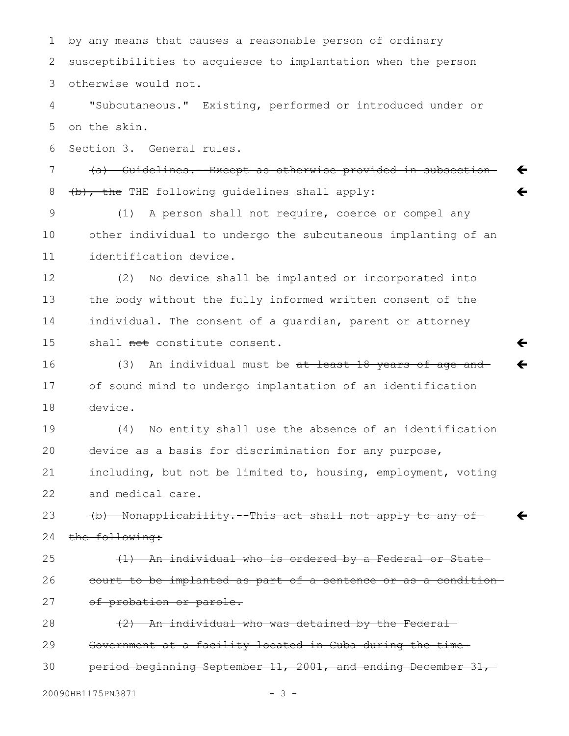by any means that causes a reasonable person of ordinary susceptibilities to acquiesce to implantation when the person otherwise would not. 1 2 3

"Subcutaneous." Existing, performed or introduced under or on the skin. 4 5

Section 3. General rules. 6

(a) Guidelines.--Except as otherwise provided in subsection (b), the THE following guidelines shall apply: 7 8

 $\leftarrow$ 

 $\leftarrow$ 

 $\leftarrow$ 

 $\leftarrow$ 

 $\leftarrow$ 

(1) A person shall not require, coerce or compel any other individual to undergo the subcutaneous implanting of an identification device. 9 10 11

(2) No device shall be implanted or incorporated into the body without the fully informed written consent of the individual. The consent of a guardian, parent or attorney shall not constitute consent. 12 13 14 15

(3) An individual must be at least 18 years of age and of sound mind to undergo implantation of an identification device. 16 17 18

(4) No entity shall use the absence of an identification device as a basis for discrimination for any purpose, including, but not be limited to, housing, employment, voting and medical care. 19 20 21 22

(b) Nonapplicability.--This act shall not apply to any of the following: 23 24

25

26

27

(1) An individual who is ordered by a Federal or State court to be implanted as part of a sentence or as a condition of probation or parole.

(2) An individual who was detained by the Federal Government at a facility located in Cuba during the time 28 29

period beginning September 11, 2001, and ending December 31, 30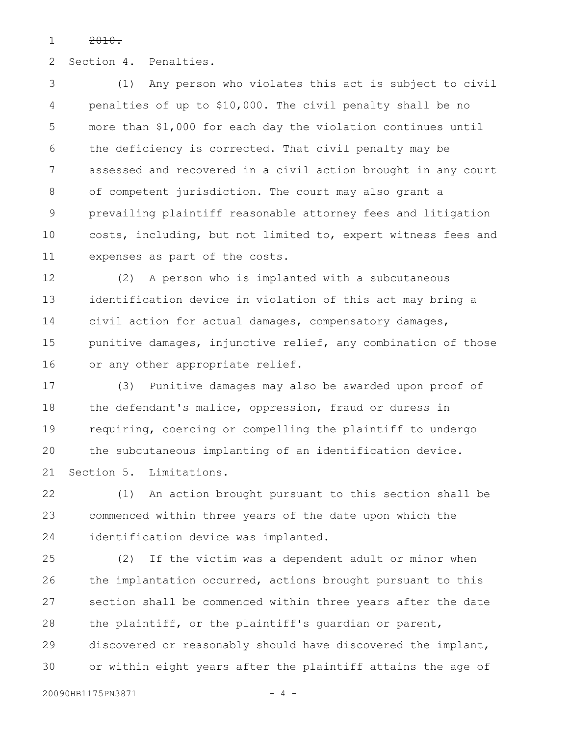2010. 1

Section 4. Penalties. 2

(1) Any person who violates this act is subject to civil penalties of up to \$10,000. The civil penalty shall be no more than \$1,000 for each day the violation continues until the deficiency is corrected. That civil penalty may be assessed and recovered in a civil action brought in any court of competent jurisdiction. The court may also grant a prevailing plaintiff reasonable attorney fees and litigation costs, including, but not limited to, expert witness fees and expenses as part of the costs. 3 4 5 6 7 8 9 10 11

(2) A person who is implanted with a subcutaneous identification device in violation of this act may bring a civil action for actual damages, compensatory damages, punitive damages, injunctive relief, any combination of those or any other appropriate relief. 12 13 14 15 16

(3) Punitive damages may also be awarded upon proof of the defendant's malice, oppression, fraud or duress in requiring, coercing or compelling the plaintiff to undergo the subcutaneous implanting of an identification device. Section 5. Limitations. 17 18 19 20 21

(1) An action brought pursuant to this section shall be commenced within three years of the date upon which the identification device was implanted. 22 23 24

(2) If the victim was a dependent adult or minor when the implantation occurred, actions brought pursuant to this section shall be commenced within three years after the date the plaintiff, or the plaintiff's guardian or parent, discovered or reasonably should have discovered the implant, or within eight years after the plaintiff attains the age of 25 26 27 28 29 30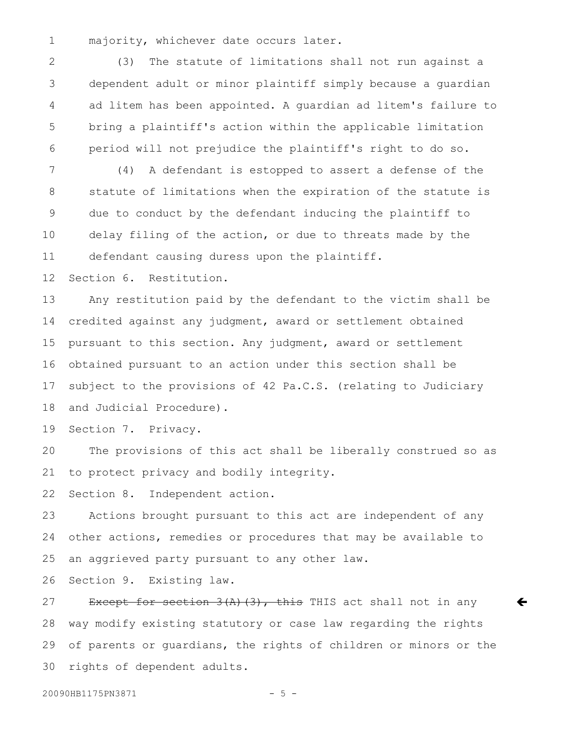majority, whichever date occurs later. 1

(3) The statute of limitations shall not run against a dependent adult or minor plaintiff simply because a guardian ad litem has been appointed. A guardian ad litem's failure to bring a plaintiff's action within the applicable limitation period will not prejudice the plaintiff's right to do so. 2 3 4 5 6

(4) A defendant is estopped to assert a defense of the statute of limitations when the expiration of the statute is due to conduct by the defendant inducing the plaintiff to delay filing of the action, or due to threats made by the defendant causing duress upon the plaintiff. 7 8 9 10 11

Section 6. Restitution. 12

Any restitution paid by the defendant to the victim shall be credited against any judgment, award or settlement obtained pursuant to this section. Any judgment, award or settlement obtained pursuant to an action under this section shall be subject to the provisions of 42 Pa.C.S. (relating to Judiciary and Judicial Procedure). 13 14 15 16 17 18

Section 7. Privacy. 19

The provisions of this act shall be liberally construed so as to protect privacy and bodily integrity. 20 21

Section 8. Independent action. 22

Actions brought pursuant to this act are independent of any other actions, remedies or procedures that may be available to an aggrieved party pursuant to any other law. 23 24 25

Section 9. Existing law. 26

Except for section  $3(A)$  (3), this THIS act shall not in any way modify existing statutory or case law regarding the rights of parents or guardians, the rights of children or minors or the rights of dependent adults. 27 28 29 30

 $\leftarrow$